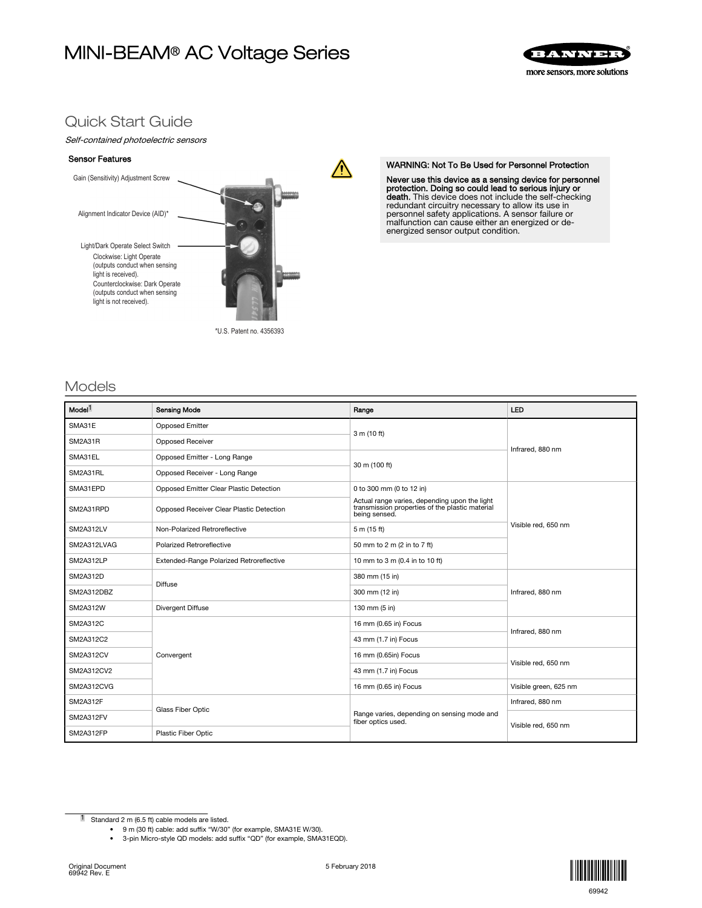# MINI-BEAM® AC Voltage Series



# Quick Start Guide

## Self-contained photoelectric sensors

#### Sensor Features



WARNING: Not To Be Used for Personnel Protection

Never use this device as a sensing device for personnel protection. Doing so could lead to serious injury or death. This device does not include the self-checking redundant circuitry necessary to allow its use in personnel safety applications. A sensor failure or malfunction can cause either an energized or de-energized sensor output condition.

# Models

| Model <sup>1</sup> | <b>Sensing Mode</b>                      | Range                                                                                                             | LED                   |  |
|--------------------|------------------------------------------|-------------------------------------------------------------------------------------------------------------------|-----------------------|--|
| SMA31E             | <b>Opposed Emitter</b>                   | 3 m (10 ft)                                                                                                       | Infrared, 880 nm      |  |
| SM2A31R            | Opposed Receiver                         |                                                                                                                   |                       |  |
| SMA31EL            | Opposed Emitter - Long Range             | 30 m (100 ft)                                                                                                     |                       |  |
| SM2A31RL           | Opposed Receiver - Long Range            |                                                                                                                   |                       |  |
| SMA31EPD           | Opposed Emitter Clear Plastic Detection  | 0 to 300 mm (0 to 12 in)                                                                                          | Visible red, 650 nm   |  |
| SM2A31RPD          | Opposed Receiver Clear Plastic Detection | Actual range varies, depending upon the light<br>transmission properties of the plastic material<br>being sensed. |                       |  |
| SM2A312LV          | Non-Polarized Retroreflective            | 5 m (15 ft)                                                                                                       |                       |  |
| SM2A312LVAG        | Polarized Retroreflective                | 50 mm to 2 m (2 in to 7 ft)                                                                                       |                       |  |
| SM2A312LP          | Extended-Range Polarized Retroreflective | 10 mm to 3 m (0.4 in to 10 ft)                                                                                    |                       |  |
| SM2A312D           | <b>Diffuse</b>                           | 380 mm (15 in)                                                                                                    | Infrared, 880 nm      |  |
| SM2A312DBZ         |                                          | 300 mm (12 in)                                                                                                    |                       |  |
| <b>SM2A312W</b>    | Divergent Diffuse                        | 130 mm (5 in)                                                                                                     |                       |  |
| <b>SM2A312C</b>    | Convergent                               | 16 mm (0.65 in) Focus                                                                                             | Infrared, 880 nm      |  |
| SM2A312C2          |                                          | 43 mm (1.7 in) Focus                                                                                              |                       |  |
| SM2A312CV          |                                          | 16 mm (0.65in) Focus                                                                                              | Visible red, 650 nm   |  |
| SM2A312CV2         |                                          | 43 mm (1.7 in) Focus                                                                                              |                       |  |
| SM2A312CVG         |                                          | 16 mm (0.65 in) Focus                                                                                             | Visible green, 625 nm |  |
| <b>SM2A312F</b>    |                                          | Range varies, depending on sensing mode and<br>fiber optics used.                                                 | Infrared, 880 nm      |  |
| SM2A312FV          | Glass Fiber Optic                        |                                                                                                                   | Visible red, 650 nm   |  |
| <b>SM2A312FP</b>   | Plastic Fiber Optic                      |                                                                                                                   |                       |  |

 $\sqrt{N}$ 

• 9 m (30 ft) cable: add suffix "W/30" (for example, SMA31E W/30).



<sup>1</sup> Standard 2 m (6.5 ft) cable models are listed.

<sup>• 3-</sup>pin Micro-style QD models: add suffix "QD" (for example, SMA31EQD).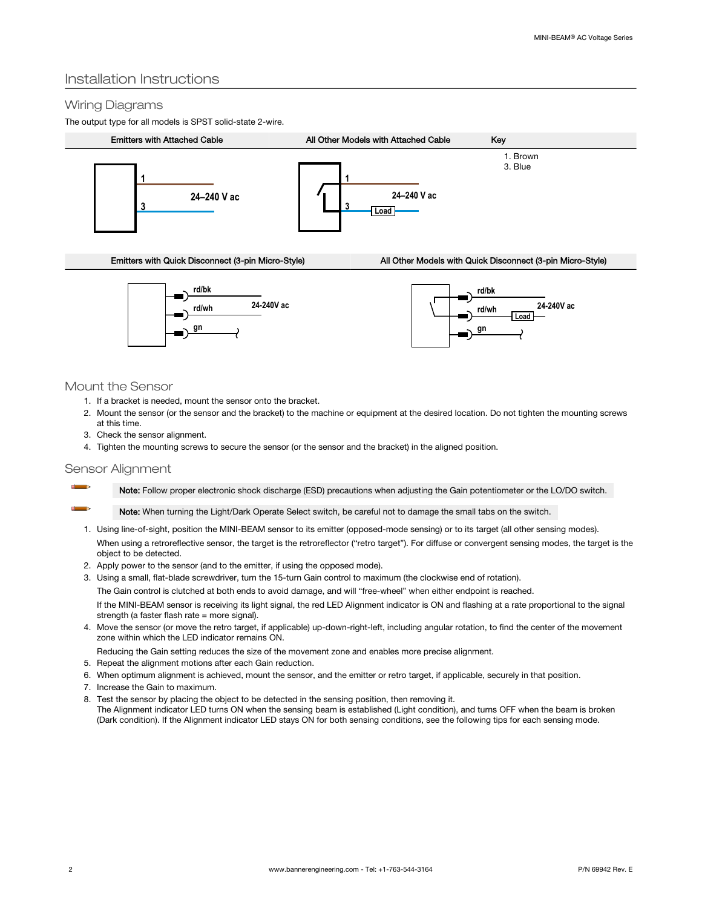# Installation Instructions

## Wiring Diagrams

The output type for all models is SPST solid-state 2-wire.







## Mount the Sensor

- 1. If a bracket is needed, mount the sensor onto the bracket.
- 2. Mount the sensor (or the sensor and the bracket) to the machine or equipment at the desired location. Do not tighten the mounting screws at this time.
- 3. Check the sensor alignment.
- 4. Tighten the mounting screws to secure the sensor (or the sensor and the bracket) in the aligned position.

## Sensor Alignment

 $\sim$  $\Box$ 

Note: Follow proper electronic shock discharge (ESD) precautions when adjusting the Gain potentiometer or the LO/DO switch.

Note: When turning the Light/Dark Operate Select switch, be careful not to damage the small tabs on the switch.

- 1. Using line-of-sight, position the MINI-BEAM sensor to its emitter (opposed-mode sensing) or to its target (all other sensing modes). When using a retroreflective sensor, the target is the retroreflector ("retro target"). For diffuse or convergent sensing modes, the target is the object to be detected.
- 2. Apply power to the sensor (and to the emitter, if using the opposed mode).
- 3. Using a small, flat-blade screwdriver, turn the 15-turn Gain control to maximum (the clockwise end of rotation).

The Gain control is clutched at both ends to avoid damage, and will "free-wheel" when either endpoint is reached.

If the MINI-BEAM sensor is receiving its light signal, the red LED Alignment indicator is ON and flashing at a rate proportional to the signal strength (a faster flash rate  $=$  more signal).

4. Move the sensor (or move the retro target, if applicable) up-down-right-left, including angular rotation, to find the center of the movement zone within which the LED indicator remains ON.

Reducing the Gain setting reduces the size of the movement zone and enables more precise alignment.

- 5. Repeat the alignment motions after each Gain reduction.
- 6. When optimum alignment is achieved, mount the sensor, and the emitter or retro target, if applicable, securely in that position.
- 7. Increase the Gain to maximum.
- 8. Test the sensor by placing the object to be detected in the sensing position, then removing it. The Alignment indicator LED turns ON when the sensing beam is established (Light condition), and turns OFF when the beam is broken (Dark condition). If the Alignment indicator LED stays ON for both sensing conditions, see the following tips for each sensing mode.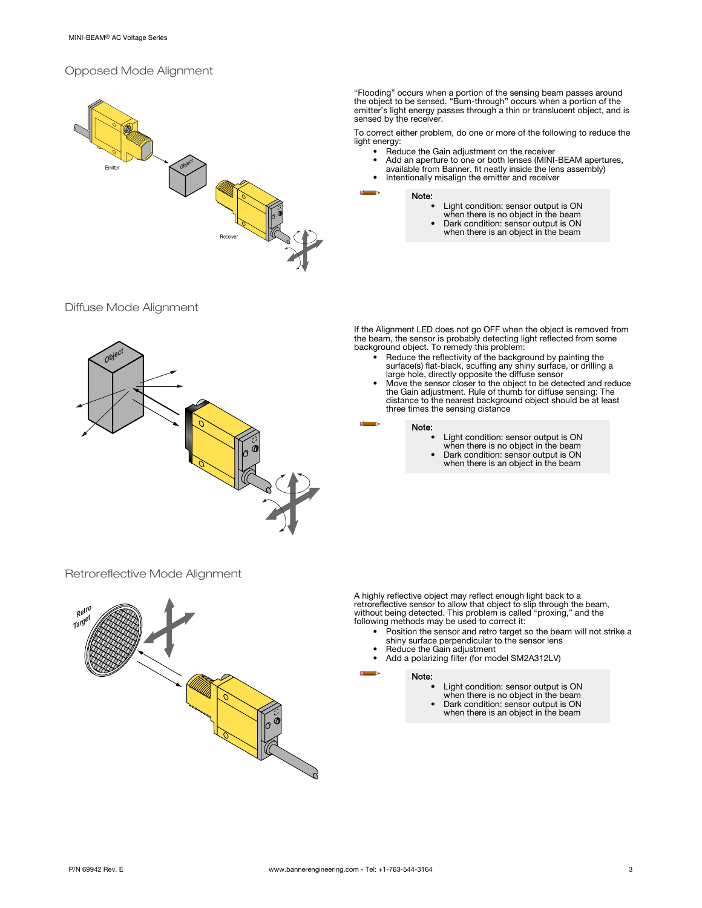## Opposed Mode Alignment



"Flooding" occurs when a portion of the sensing beam passes around the object to be sensed. "Burn-through" occurs when a portion of the emitter's light energy passes through a thin or translucent object, and is sensed by the receiver.

To correct either problem, do one or more of the following to reduce the light energy:

- Reduce the Gain adjustment on the receiver
- Add an aperture to one or both lenses (MINI-BEAM apertures, available from Banner, fit neatly inside the lens assembly)
- Intentionally misalign the emitter and receiver

Note:

- Light condition: sensor output is ON
	- when there is no object in the beam
- Dark condition: sensor output is ON when there is an object in the beam





If the Alignment LED does not go OFF when the object is removed from the beam, the sensor is probably detecting light reflected from some background object. To remedy this problem:

- Reduce the reflectivity of the background by painting the surface(s) flat-black, scuffing any shiny surface, or drilling a large hole, directly opposite the diffuse sensor
- Move the sensor closer to the object to be detected and reduce the Gain adjustment. Rule of thumb for diffuse sensing: The distance to the nearest background object should be at least three times the sensing distance

#### Note:

- 
- 
- Light condition: sensor output is ON when there is no object in the beam Dark condition: sensor output is ON when there is an object in the beam

Retroreflective Mode Alignment



A highly reflective object may reflect enough light back to a<br>retroreflective sensor to allow that object to slip through the beam,<br>without being detected. This problem is called "proxing," and the<br>following methods may be

- Position the sensor and retro target so the beam will not strike a shiny surface perpendicular to the sensor lens
	- Reduce the Gain adjustment
- Add a polarizing filter (for model SM2A312LV)

#### Note:

- Light condition: sensor output is ON
- when there is no object in the beam
- Dark condition: sensor output is ON when there is an object in the beam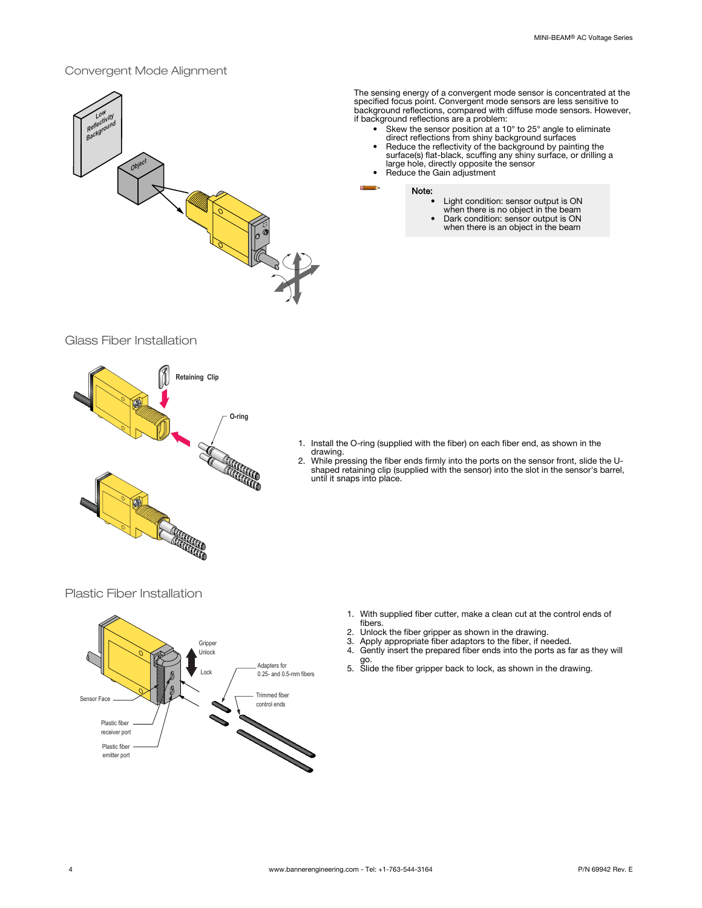## Convergent Mode Alignment



The sensing energy of a convergent mode sensor is concentrated at the specified focus point. Convergent mode sensors are less sensitive to background reflections, compared with diffuse mode sensors. However, if background reflections are a problem:

- 
- Skew the sensor position at a 10° to 25° angle to eliminate<br>direct reflections from shiny background surfaces<br>• Reduce the reflectivity of the background by painting the<br>surface(s) flat-black, scuffing any shiny surface,
- 

#### Note:

- Light condition: sensor output is ON when there is no object in the beam
- 
- Dark condition: sensor output is ON when there is an object in the beam

## Glass Fiber Installation



- 1. Install the O-ring (supplied with the fiber) on each fiber end, as shown in the drawing.
- 2. While pressing the fiber ends firmly into the ports on the sensor front, slide the U-shaped retaining clip (supplied with the sensor) into the slot in the sensor's barrel, until it snaps into place.

Plastic Fiber Installation



- 1. With supplied fiber cutter, make a clean cut at the control ends of fibers.
- 2. Unlock the fiber gripper as shown in the drawing.<br>3. Apply appropriate fiber adaptors to the fiber, if ne
- 3. Apply appropriate fiber adaptors to the fiber, if needed.
- 4. Gently insert the prepared fiber ends into the ports as far as they will go.
- 5. Slide the fiber gripper back to lock, as shown in the drawing.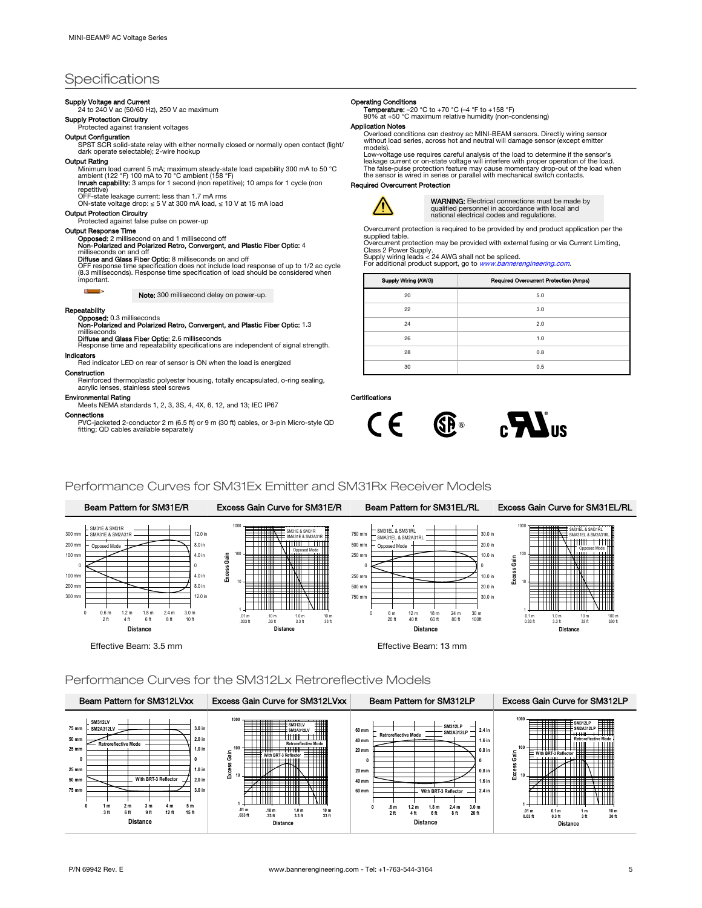# **Specifications**

# Supply Voltage and Current<br>24 to 240 V ac (50/60 Hz), 250 V ac maximum

Supply Protection Circuitry

Protected against transient voltages

#### Output Configuration

SPST SCR solid-state relay with either normally closed or normally open contact (light/ dark operate selectable); 2-wire hookup

#### Output Rating

Minimum load current 5 mA; maximum steady-state load capability 300 mA to 50 °C<br>ambient (122 °F) 100 mA to 70 °C ambient (158 °F)<br>**Inrush capability:** 3 amps for 1 second (non repetitive); 10 amps for 1 cycle (non

repetitive)<br>OFF-state leakage current: less than 1.7 mA rms<br>ON-state voltage drop: ≤ 5 V at 300 mA load, ≤ 10 V at 15 mA load

#### Output Protection Circuitry

Protected against false pulse on power-up

#### Output Response Time

# **Opposed:** 2 millisecond on and 1 millisecond off<br>**Non-Polarized and Polarized Retro, Convergent, and Plastic Fiber Optic:** 4

milliseconds on and off<br>**Diffuse and Glass Fiber Optic:** 8 milliseconds on and off

OFF response time specification does not include load response of up to 1/2 ac cycle (8.3 milliseconds). Response time specification of load should be considered when important.

Note: 300 millisecond delay on power-up.

#### Repeatability

 $\begin{array}{c} \hline \end{array}$ 

Opposed: 0.3 milliseconds Non-Polarized and Polarized Retro, Convergent, and Plastic Fiber Optic: 1.3 milliseconds<br>**Diffuse and Glass Fiber Optic:** 2.6 milliseconds

Response time and repeatability specifications are independent of signal strength. Indicators

Red indicator LED on rear of sensor is ON when the load is energized

Construction

Reinforced thermoplastic polyester housing, totally encapsulated, o-ring sealing, acrylic lenses, stainless steel screws

## Environmental Rating

Meets NEMA standards 1, 2, 3, 3S, 4, 4X, 6, 12, and 13; IEC IP67

Connections

PVC-jacketed 2-conductor 2 m (6.5 ft) or 9 m (30 ft) cables, or 3-pin Micro-style QD fitting; QD cables available separately

#### Operating Conditions

**Temperature:** –20 °C to +70 °C (–4 °F to +158 °F)<br>90% at +50 °C maximum relative humidity (non-condensing)

#### Application Notes

Overload conditions can destroy ac MINI-BEAM sensors. Directly wiring sensor without load series, across hot and neutral will damage sensor (except emitter models). Low-voltage use requires careful analysis of the load to determine if the sensor's

leakage current or on-state voltage will interfere with proper operation of the load.<br>The false-pulse protection feature may cause momentary drop-out of the load when<br>the sensor is wired in series or parallel with mechanic

#### Required Overcurrent Protection



WARNING: Electrical connections must be made by qualified personnel in accordance with local and national electrical codes and regulations.

Overcurrent protection is required to be provided by end product application per the supplied table.

Overcurrent protection may be provided with external fusing or via Current Limiting, Class 2 Power Supply.<br>Supply wiring leads < 24 AWG shall not be spliced.<br>For additional product support, go to *[www.bannerengineering.com](http://www.bannerengineering.com)*.

| Supply Wiring (AWG) | Required Overcurrent Protection (Amps) |
|---------------------|----------------------------------------|
| 20                  | 5.0                                    |
| 22                  | 3.0                                    |
| 24                  | 2.0                                    |
| 26                  | 1.0                                    |
| 28                  | 0.8                                    |
| 30                  | 0.5                                    |

## Certifications



### Performance Curves for SM31Ex Emitter and SM31Rx Receiver Models



#### Performance Curves for the SM312Lx Retroreflective Models

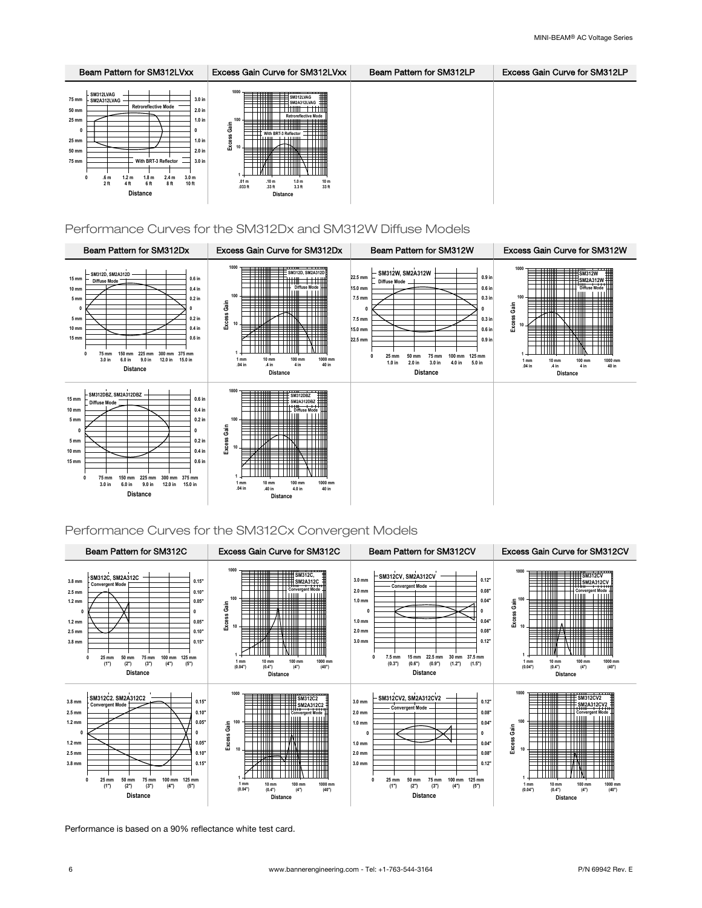

## Performance Curves for the SM312Dx and SM312W Diffuse Models



## Performance Curves for the SM312Cx Convergent Models



Performance is based on a 90% reflectance white test card.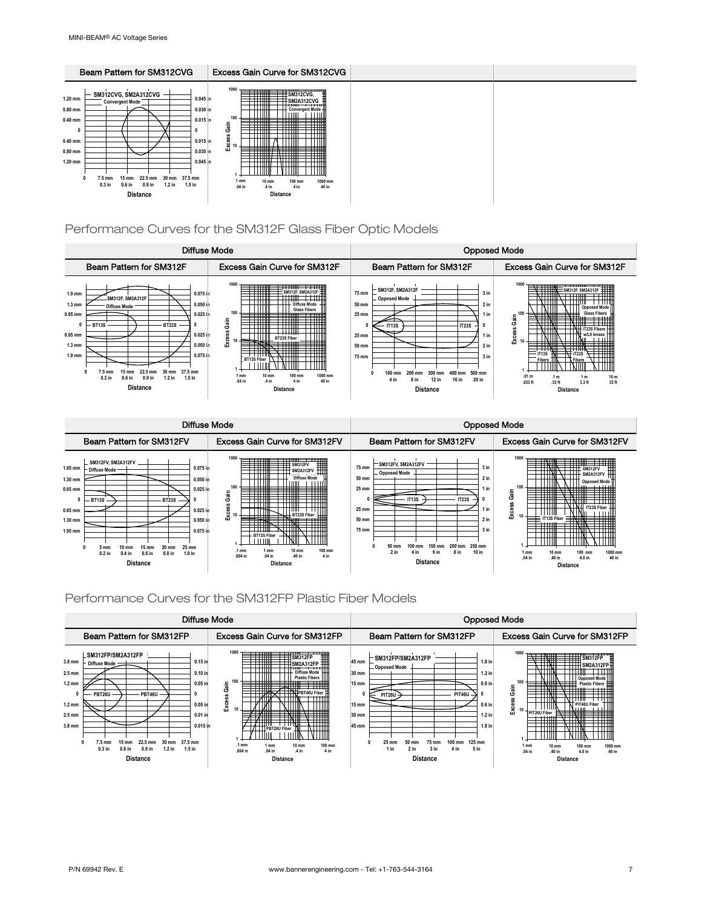

Performance Curves for the SM312F Glass Fiber Optic Models





## Performance Curves for the SM312FP Plastic Fiber Models

|                                                                                                                                                                                                                                                                                                                                                                                         | Diffuse Mode                                                                                                                                                                                                                                                                                                                                                                  | <b>Opposed Mode</b>                                                                                                                                                                                                                                                                                                                        |                                                                                                                                                                                                                                                                                                                   |
|-----------------------------------------------------------------------------------------------------------------------------------------------------------------------------------------------------------------------------------------------------------------------------------------------------------------------------------------------------------------------------------------|-------------------------------------------------------------------------------------------------------------------------------------------------------------------------------------------------------------------------------------------------------------------------------------------------------------------------------------------------------------------------------|--------------------------------------------------------------------------------------------------------------------------------------------------------------------------------------------------------------------------------------------------------------------------------------------------------------------------------------------|-------------------------------------------------------------------------------------------------------------------------------------------------------------------------------------------------------------------------------------------------------------------------------------------------------------------|
| Beam Pattern for SM312FP                                                                                                                                                                                                                                                                                                                                                                | <b>Excess Gain Curve for SM312FP</b>                                                                                                                                                                                                                                                                                                                                          | Beam Pattern for SM312FP                                                                                                                                                                                                                                                                                                                   | <b>Excess Gain Curve for SM312FP</b>                                                                                                                                                                                                                                                                              |
| SM312FP/SM2A312FP<br>$0.15$ in<br>$3.8$ mm<br>Diffuse Mode -<br>$0.10$ in<br>$2.5 \text{ mm}$<br>$1.2 \text{ mm}$<br>$0.05$ in<br>PBT46U<br>PBT26U<br>$1.2 \text{ mm}$<br>$0.05$ in<br>$2.5$ mm<br>$0.01$ in<br>3.8 mm<br>0.015 in<br>37.5 mm<br>22.5 mm<br>$30 \text{ mm}$<br>7.5 mm<br>$15 \text{ mm}$<br>$0.3$ in<br>$0.6$ in<br>$0.9$ in<br>$1.2$ in<br>$1.5$ in<br><b>Distance</b> | 1000<br>F HI<br>$\equiv$ SM312FP<br>╤╤╤╤<br>SM2A312FP<br><b>Diffuse Mode</b><br><b>Plastic Fibers</b><br>Gain<br><del>- - - - - - -</del><br>------<br>——<br>-------<br><b>ANTIFICATE STATE</b><br>★────<br>Excei<br>───────────────<br>᠇᠇᠇<br>PBT26U Fiber<br>100 mm<br>$.1 \text{ mm}$<br>$10 \text{ mm}$<br>1 mm<br>$.004$ in<br>.04 in<br>4 in<br>A in<br><b>Distance</b> | SM312FP/SM2A312FP<br>45 mm<br>$1.8$ in<br>Opposed Mode<br>$1.2$ in<br>30 mm<br>$0.6$ in<br>$15 \text{ mm}$<br><b>PIT46U</b><br><b>PIT26U</b><br>$0.6$ in<br>$15 \text{ mm}$<br>$1.2$ in<br>30 mm<br>45 mm<br>$1.8$ in<br>25 mm<br>100 mm<br>125 mm<br>50 mm<br>75 mm<br>3 in<br>2 in<br>4 in<br>5 <sub>in</sub><br>1 in<br><b>Distance</b> | 1000<br>N N<br><b>THE SM312FP</b><br><b>THIT SM2A312FP</b><br><b>Opposed Mode</b><br><b>Plastic Fibers</b><br>Gain<br>╤╤╤╤╤<br>ess<br>PIT46U Fiber<br>Εxα<br><b>HATTER</b><br>PIT26U Fiber<br>----<br>ᅲ<br>1000 mm<br>$10 \text{ mm}$<br>100 mm<br>1 mm<br>.40 in<br>.04 in<br>40 in<br>4.0 in<br><b>Distance</b> |